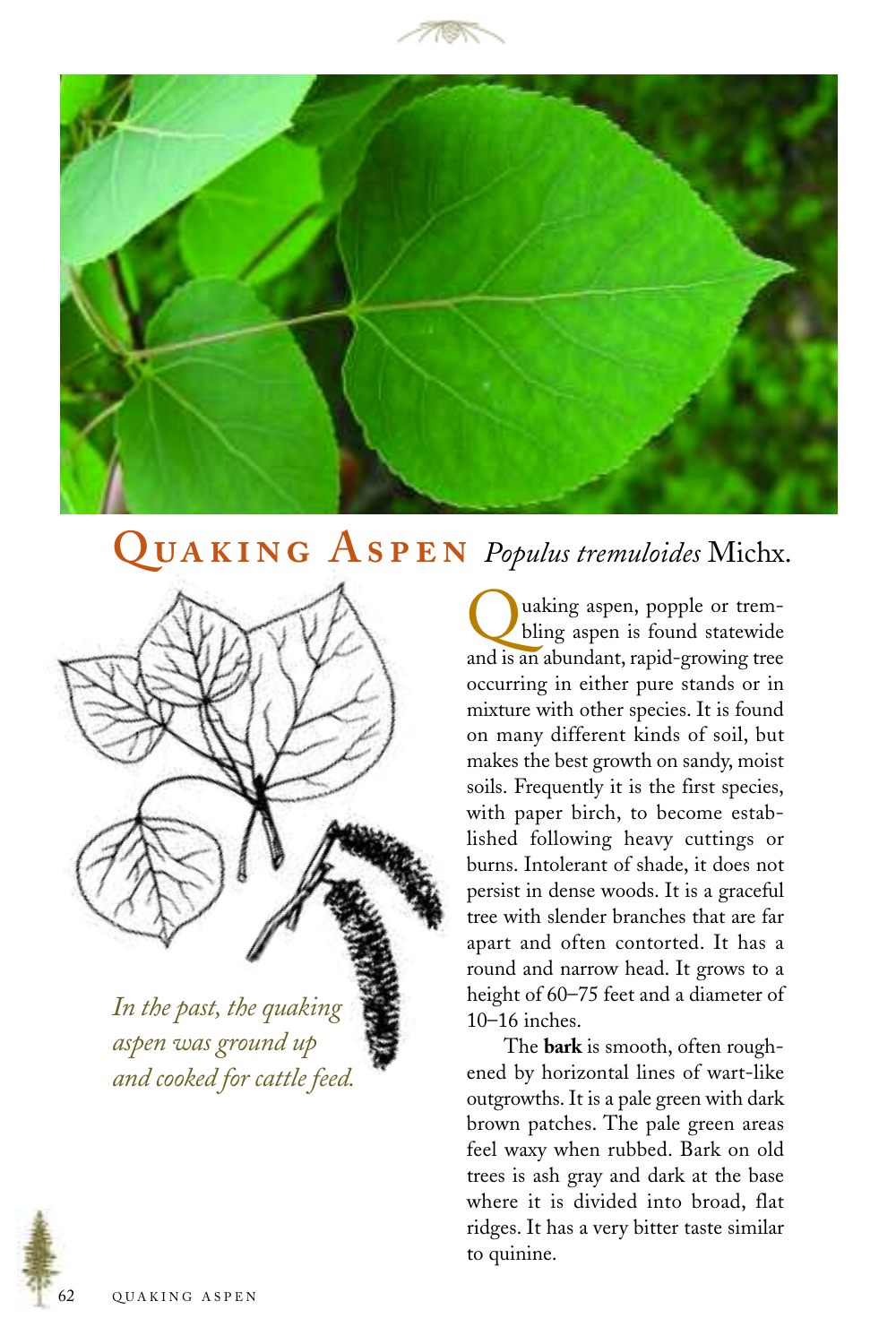



## QUAKING ASPEN Populus tremuloides Michx.



*In the past, the quaking aspen was ground up and cooked for cattle feed.*

uaking aspen, popple or trembling aspen is found statewide and is an abundant, rapid-growing tree occurring in either pure stands or in mixture with other species. It is found on many different kinds of soil, but makes the best growth on sandy, moist soils. Frequently it is the first species, with paper birch, to become established following heavy cuttings or burns. Intolerant of shade, it does not persist in dense woods. It is a graceful tree with slender branches that are far apart and often contorted. It has a round and narrow head. It grows to a height of 60–75 feet and a diameter of 10–16 inches.

The **bark** is smooth, often roughened by horizontal lines of wart-like outgrowths. It is a pale green with dark brown patches. The pale green areas feel waxy when rubbed. Bark on old trees is ash gray and dark at the base where it is divided into broad, flat ridges. It has a very bitter taste similar to quinine.